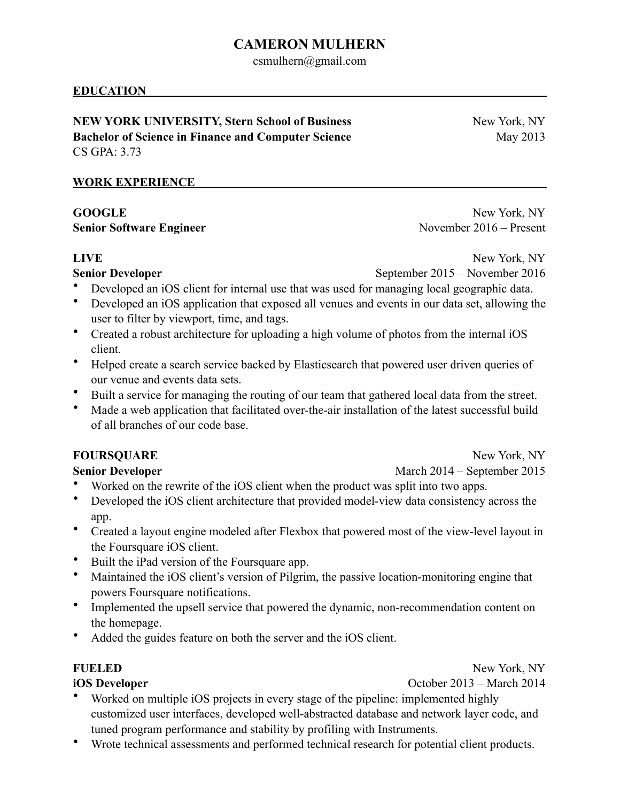# **CAMERON MULHERN**

csmulhern@gmail.com

## **EDUCATION**

**NEW YORK UNIVERSITY, Stern School of Business** New York, NY **Bachelor of Science in Finance and Computer Science May 2013** CS GPA: 3.73

### **WORK EXPERIENCE**

GOOGLE New York, NY **Senior Software Engineer** November 2016 – Present

**LIVE** New York, NY

**Senior Developer** September 2015 – November 2016

- Developed an iOS client for internal use that was used for managing local geographic data.
- Developed an iOS application that exposed all venues and events in our data set, allowing the user to filter by viewport, time, and tags.
- Created a robust architecture for uploading a high volume of photos from the internal iOS client.
- Helped create a search service backed by Elasticsearch that powered user driven queries of our venue and events data sets.
- Built a service for managing the routing of our team that gathered local data from the street.
- Made a web application that facilitated over-the-air installation of the latest successful build of all branches of our code base.

## **FOURSQUARE** New York, NY

**Senior Developer March 2014** – September 2015

- Worked on the rewrite of the iOS client when the product was split into two apps.
- Developed the iOS client architecture that provided model-view data consistency across the app.
- Created a layout engine modeled after Flexbox that powered most of the view-level layout in the Foursquare iOS client.
- Built the iPad version of the Foursquare app.
- Maintained the iOS client's version of Pilgrim, the passive location-monitoring engine that powers Foursquare notifications.
- Implemented the upsell service that powered the dynamic, non-recommendation content on the homepage.
- Added the guides feature on both the server and the iOS client.

**iOS Developer October 2013** – March 2014

**FUELED** New York, NY

- Worked on multiple iOS projects in every stage of the pipeline: implemented highly customized user interfaces, developed well-abstracted database and network layer code, and tuned program performance and stability by profiling with Instruments.
- Wrote technical assessments and performed technical research for potential client products.